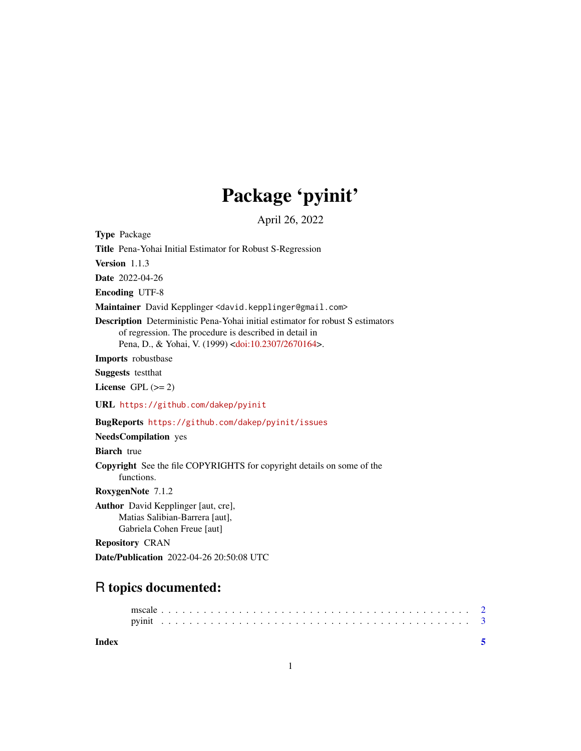## Package 'pyinit'

April 26, 2022

Type Package

Title Pena-Yohai Initial Estimator for Robust S-Regression

Version 1.1.3

Date 2022-04-26

Encoding UTF-8

Maintainer David Kepplinger <david.kepplinger@gmail.com>

Description Deterministic Pena-Yohai initial estimator for robust S estimators of regression. The procedure is described in detail in Pena, D., & Yohai, V. (1999) [<doi:10.2307/2670164>](https://doi.org/10.2307/2670164).

Imports robustbase

Suggests testthat

License GPL  $(>= 2)$ 

URL <https://github.com/dakep/pyinit>

BugReports <https://github.com/dakep/pyinit/issues>

NeedsCompilation yes

Biarch true

Copyright See the file COPYRIGHTS for copyright details on some of the functions.

RoxygenNote 7.1.2

Author David Kepplinger [aut, cre], Matias Salibian-Barrera [aut], Gabriela Cohen Freue [aut]

Repository CRAN

Date/Publication 2022-04-26 20:50:08 UTC

### R topics documented:

**Index** [5](#page-4-0). The second state of the second state of the second state of the second state of the second state of the second state of the second state of the second state of the second state of the second state of the second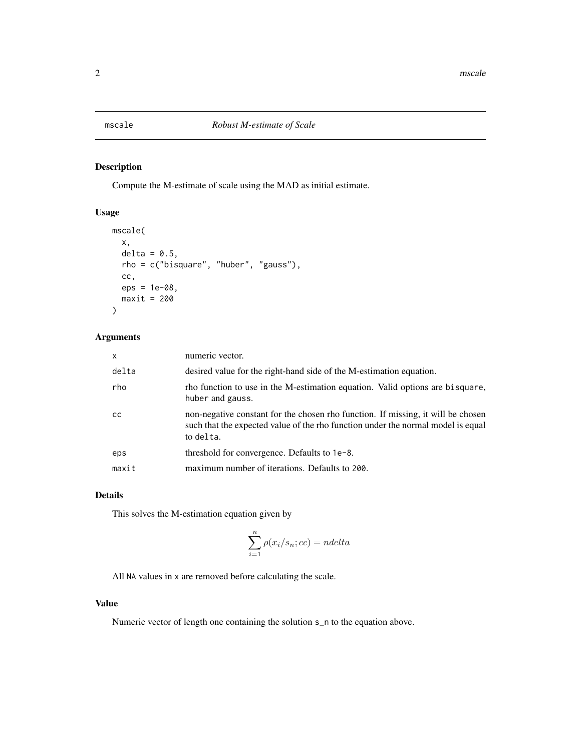<span id="page-1-0"></span>

#### Description

Compute the M-estimate of scale using the MAD as initial estimate.

#### Usage

```
mscale(
  x,
  delta = 0.5,
  rho = c("bisquare", "huber", "gauss"),
  cc,
  eps = 1e-08,
  maxit = 200)
```
#### Arguments

| $\mathsf{x}$  | numeric vector.                                                                                                                                                                   |
|---------------|-----------------------------------------------------------------------------------------------------------------------------------------------------------------------------------|
| delta         | desired value for the right-hand side of the M-estimation equation.                                                                                                               |
| rho           | rho function to use in the M-estimation equation. Valid options are bisquare,<br>huber and gauss.                                                                                 |
| <sub>CC</sub> | non-negative constant for the chosen rho function. If missing, it will be chosen<br>such that the expected value of the rho function under the normal model is equal<br>to delta. |
| eps           | threshold for convergence. Defaults to 1e-8.                                                                                                                                      |
| maxit         | maximum number of iterations. Defaults to 200.                                                                                                                                    |

#### Details

This solves the M-estimation equation given by

$$
\sum_{i=1}^{n} \rho(x_i/s_n; cc) = ndelta
$$

All NA values in x are removed before calculating the scale.

#### Value

Numeric vector of length one containing the solution s\_n to the equation above.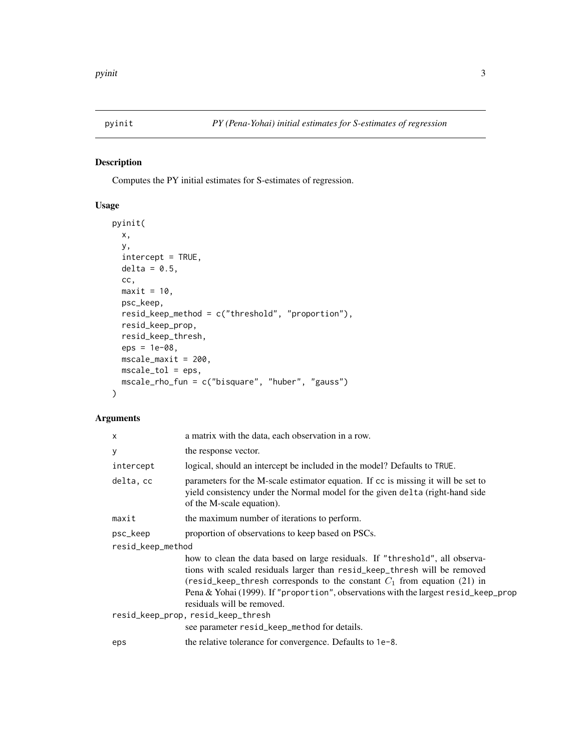<span id="page-2-0"></span>

#### Description

Computes the PY initial estimates for S-estimates of regression.

#### Usage

```
pyinit(
  x,
 y,
 intercept = TRUE,
 delta = 0.5,
 cc,
 maxit = 10,
 psc_keep,
 resid_keep_method = c("threshold", "proportion"),
  resid_keep_prop,
 resid_keep_thresh,
 eps = 1e-08,
 mscale_maxit = 200,
 mscale_tol = eps,
 mscale_rho_fun = c("bisquare", "huber", "gauss")
)
```
#### Arguments

| $\mathsf{x}$                       | a matrix with the data, each observation in a row.                                                                                                                                                                                                                                                                                                           |  |
|------------------------------------|--------------------------------------------------------------------------------------------------------------------------------------------------------------------------------------------------------------------------------------------------------------------------------------------------------------------------------------------------------------|--|
| У                                  | the response vector.                                                                                                                                                                                                                                                                                                                                         |  |
| intercept                          | logical, should an intercept be included in the model? Defaults to TRUE.                                                                                                                                                                                                                                                                                     |  |
| delta, cc                          | parameters for the M-scale estimator equation. If cc is missing it will be set to<br>yield consistency under the Normal model for the given delta (right-hand side<br>of the M-scale equation).                                                                                                                                                              |  |
| maxit                              | the maximum number of iterations to perform.                                                                                                                                                                                                                                                                                                                 |  |
| psc_keep                           | proportion of observations to keep based on PSCs.                                                                                                                                                                                                                                                                                                            |  |
| resid_keep_method                  |                                                                                                                                                                                                                                                                                                                                                              |  |
|                                    | how to clean the data based on large residuals. If "threshold", all observa-<br>tions with scaled residuals larger than resid_keep_thresh will be removed<br>(resid_keep_thresh corresponds to the constant $C_1$ from equation (21) in<br>Pena & Yohai (1999). If "proportion", observations with the largest resid_keep_prop<br>residuals will be removed. |  |
| resid_keep_prop, resid_keep_thresh |                                                                                                                                                                                                                                                                                                                                                              |  |
|                                    | see parameter resid_keep_method for details.                                                                                                                                                                                                                                                                                                                 |  |
| eps                                | the relative tolerance for convergence. Defaults to 1e-8.                                                                                                                                                                                                                                                                                                    |  |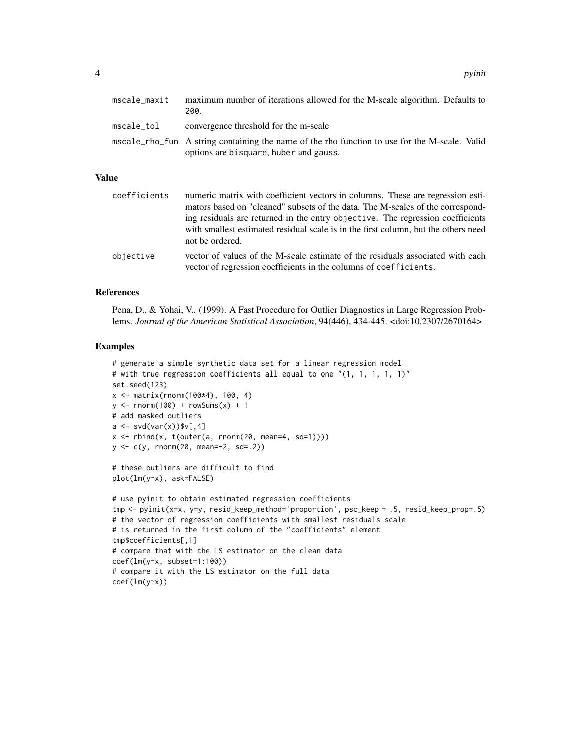| mscale maxit | maximum number of iterations allowed for the M-scale algorithm. Defaults to<br>200.                                                     |  |
|--------------|-----------------------------------------------------------------------------------------------------------------------------------------|--|
| mscale_tol   | convergence threshold for the m-scale                                                                                                   |  |
|              | mscale_rho_fun A string containing the name of the rho function to use for the M-scale. Valid<br>options are bisquare, huber and gauss. |  |

#### Value

| coefficients | numeric matrix with coefficient vectors in columns. These are regression esti-<br>mators based on "cleaned" subsets of the data. The M-scales of the correspond-<br>ing residuals are returned in the entry objective. The regression coefficients<br>with smallest estimated residual scale is in the first column, but the others need<br>not be ordered. |
|--------------|-------------------------------------------------------------------------------------------------------------------------------------------------------------------------------------------------------------------------------------------------------------------------------------------------------------------------------------------------------------|
| objective    | vector of values of the M-scale estimate of the residuals associated with each<br>vector of regression coefficients in the columns of coefficients.                                                                                                                                                                                                         |

#### References

Pena, D., & Yohai, V.. (1999). A Fast Procedure for Outlier Diagnostics in Large Regression Problems. *Journal of the American Statistical Association*, 94(446), 434-445. <doi:10.2307/2670164>

#### Examples

```
# generate a simple synthetic data set for a linear regression model
# with true regression coefficients all equal to one "(1, 1, 1, 1, 1)"
set.seed(123)
x <- matrix(rnorm(100*4), 100, 4)
y \le - rnorm(100) + rowSums(x) + 1
# add masked outliers
a \leq -svd(var(x))$v[,4]
x \le rbind(x, t(outer(a, rnorm(20, mean=4, sd=1))))
y <- c(y, rnorm(20, mean=-2, sd=.2))
# these outliers are difficult to find
plot(lm(y~x), ask=FALSE)
# use pyinit to obtain estimated regression coefficients
tmp <- pyinit(x=x, y=y, resid_keep_method='proportion', psc_keep = .5, resid_keep_prop=.5)
# the vector of regression coefficients with smallest residuals scale
# is returned in the first column of the "coefficients" element
tmp$coefficients[,1]
# compare that with the LS estimator on the clean data
coef(lm(y~x, subset=1:100))
# compare it with the LS estimator on the full data
coef(lm(y~x))
```